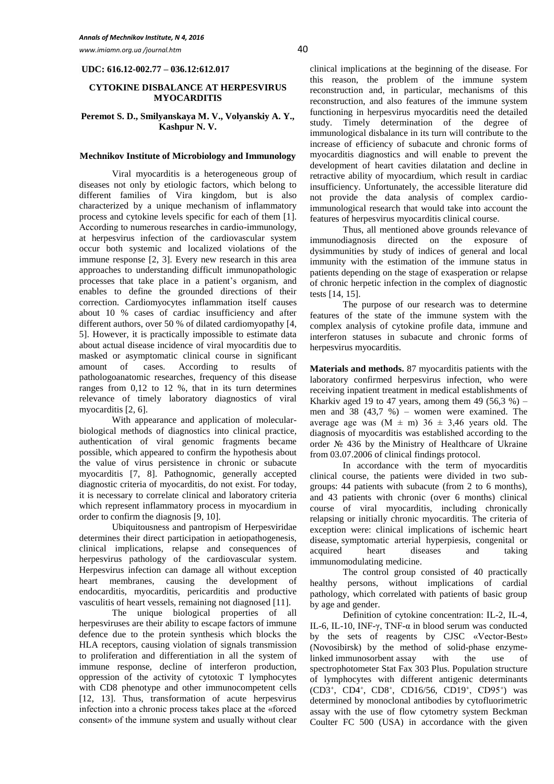*www.imiamn.org.ua /journal.htm* 40

## **UDC: 616.12-002.77 – 036.12:612.017**

### **CYTOKINE DISBALANCE AT HERPESVIRUS MYOCARDITIS**

## **Peremot S. D., Smilyanskaya M. V., Volyanskiy A. Y., Kashpur N. V.**

### **Mechnikov Institute of Microbiology and Immunology**

Viral myocarditis is a heterogeneous group of diseases not only by etiologic factors, which belong to different families of Vira kingdom, but is also characterized by a unique mechanism of inflammatory process and cytokine levels specific for each of them [1]. According to numerous researches in сardio-immunology, at herpesvirus infection of the cardiovascular system occur both systemic and localized violations of the immune response [2, 3]. Every new research in this area approaches to understanding difficult immunopathologic processes that take place in a patient's organism, and enables to define the grounded directions of their correction. Cardiomyocytes inflammation itself causes about 10 % cases of cardiac insufficiency and after different authors, over 50 % of dilated cardiomyopathy [4, 5]. However, it is practically impossible to estimate data about actual disease incidence of viral myocarditis due to masked or asymptomatic clinical course in significant amount of cases. According to results of pathologoanatomic researches, frequency of this disease ranges from 0,12 to 12 %, that in its turn determines relevance of timely laboratory diagnostics of viral myocarditis [2, 6].

With appearance and application of molecularbiological methods of diagnostics into clinical practice, authentication of viral genomic fragments became possible, which appeared to confirm the hypothesis about the value of virus persistence in chronic or subacute myocarditis [7, 8]. Pathognomic, generally accepted diagnostic criteria of myocarditis, do not exist. For today, it is necessary to correlate clinical and laboratory criteria which represent inflammatory process in myocardium in order to confirm the diagnosis [9, 10].

Ubiquitousness and pantropism of Herpesviridae determines their direct participation in aetiopathogenesis, clinical implications, relapse and consequences of herpesvirus pathology of the cardiovascular system. Herpesvirus infection can damage all without exception heart membranes, causing the development of endocarditis, myocarditis, pericarditis and productive vasculitis of heart vessels, remaining not diagnosed [11].

The unique biological properties of all herpesviruses are their ability to escape factors of immune defence due to the protein synthesis which blocks the HLA receptors, causing violation of signals transmission to proliferation and differentiation in all the system of immune response, decline of interferon production, oppression of the activity of cytotoxic T lymphocytes with CD8 phenotype and other immunocompetent cells [12, 13]. Thus, transformation of acute herpesvirus infection into a chronic process takes place at the «forced consent» of the immune system and usually without clear

clinical implications at the beginning of the disease. For this reason, the problem of the immune system reconstruction and, in particular, mechanisms of this reconstruction, and also features of the immune system functioning in herpesvirus myocarditis need the detailed study. Timely determination of the degree of immunological disbalance in its turn will contribute to the increase of efficiency of subacute and chronic forms of myocarditis diagnostics and will enable to prevent the development of heart cavities dilatation and decline in retractive ability of myocardium, which result in cardiac insufficiency. Unfortunately, the accessible literature did not provide the data analysis of complex cardioimmunological research that would take into account the features of herpesvirus myocarditis clinical course.

Thus, all mentioned above grounds relevance of immunodiagnosis directed on the exposure of dysimmunities by study of indices of general and local immunity with the estimation of the immune status in patients depending on the stage of exasperation or relapse of chronic herpetic infection in the complex of diagnostic tests [14, 15].

The purpose of our research was to determine features of the state of the immune system with the complex analysis of cytokine profile data, immune and interferon statuses in subacute and chronic forms of herpesvirus myocarditis.

**Materials and methods.** 87 myocarditis patients with the laboratory confirmed herpesvirus infection, who were receiving inpatient treatment in medical establishments of Kharkiv aged 19 to 47 years, among them 49  $(56,3\%)$  – men and  $38$  (43,7 %) – women were examined. The average age was  $(M \pm m)$  36  $\pm$  3,46 years old. The diagnosis of myocarditis was established according to the order № 436 by the Ministry of Healthcare of Ukraine from 03.07.2006 of clinical findings protocol.

In accordance with the term of myocarditis clinical course, the patients were divided in two subgroups: 44 patients with subacute (from 2 to 6 months), and 43 patients with chronic (over 6 months) clinical course of viral myocarditis, including chronically relapsing or initially chronic myocarditis. The criteria of exception were: clinical implications of ischemic heart disease, symptomatic arterial hyperpiesis, congenital or acquired heart diseases and taking immunomodulating medicine.

The control group consisted of 40 practically healthy persons, without implications of cardial pathology, which correlated with patients of basic group by age and gender.

Definition of cytokine concentration: IL-2, IL-4, IL-6, IL-10, INF-γ, TNF-α in blood serum was conducted by the sets of reagents by [CJSC](http://www.lingvo.ua/ru/Search/Translate/GlossaryItemExtraInfo?text=%d0%b7%d0%b0%d0%be&translation=CJSC%20-%20closed%20joint%20stock%20company&srcLang=ru&destLang=en) «Vector-Best» (Novosibirsk) by the method of solid-phase enzymelinked immunosorbent assay with the use of spectrophotometer Stat Fax 303 Plus. Population structure of lymphocytes with different antigenic determinants (CD3+, CD4+, CD8+, CD16/56, CD19+, CD95+) was determined by monoclonal antibodies by cytofluorimetric assay with the use of flow cytometry system Beckman Coulter FC 500 (USA) in accordance with the given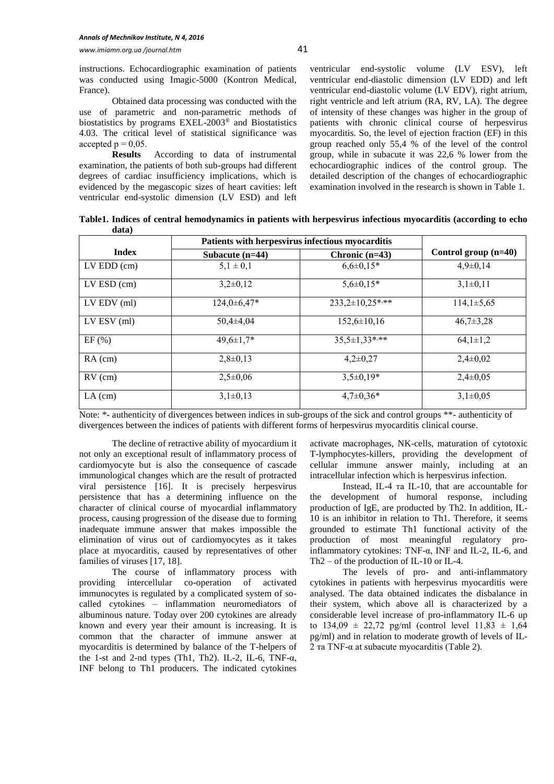instructions. Echocardiographic examination of patients was conducted using Imagic-5000 (Kontron Medical, France).

Obtained data processing was conducted with the use of parametric and non-parametric methods of biostatistics by programs EXEL-2003® and Biostatistics 4.03. The critical level of statistical significance was accepted  $p = 0.05$ .

**Results** According to data of instrumental examination, the patients of both sub-groups had different degrees of cardiac insufficiency implications, which is evidenced by the megascopic sizes of heart cavities: left ventricular end-systolic dimension (LV ESD) and left ventricular end-systolic volume (LV ESV), left ventricular end-diastolic dimension (LV EDD) and left ventricular end-diastolic volume (LV EDV), right atrium, right ventricle and left atrium (RA, RV, LA). The degree of intensity of these changes was higher in the group of patients with chronic clinical course of herpesvirus myocarditis. So, the level of ejection fraction (EF) in this group reached only 55,4 % of the level of the control group, while in subacute it was 22,6 % lower from the echocardiographic indices of the control group. The detailed description of the changes of echocardiographic examination involved in the research is shown in Table 1.

**Table1. Indices of central hemodynamics in patients with herpesvirus infectious myocarditis (according to echo data)**

|                 | Patients with herpesvirus infectious myocarditis |                     |                        |
|-----------------|--------------------------------------------------|---------------------|------------------------|
| <b>Index</b>    | Subacute $(n=44)$                                | Chronic $(n=43)$    | Control group $(n=40)$ |
| $LV EDD$ (cm)   | $5,1 \pm 0,1$                                    | $6,6 \pm 0,15*$     | $4,9\pm0,14$           |
| $LV$ ESD $(cm)$ | $3,2\pm0,12$                                     | $5,6 \pm 0.15*$     | $3,1\pm0,11$           |
| $LV$ EDV $(ml)$ | $124.0 \pm 6.47*$                                | $233,2\pm10,25$ *** | $114,1\pm5,65$         |
| $LV$ ESV (ml)   | $50.4 \pm 4.04$                                  | $152.6 \pm 10.16$   | $46,7\pm3,28$          |
| EF(%)           | $49,6 \pm 1,7$ *                                 | $35,5 \pm 1,33$ *** | $64,1\pm1,2$           |
| $RA$ (cm)       | $2,8\pm0,13$                                     | $4,2\pm0,27$        | $2,4\pm0,02$           |
| $RV$ (cm)       | $2,5\pm0,06$                                     | $3,5\pm0,19*$       | $2,4\pm0,05$           |
| $LA$ (cm)       | $3,1\pm0,13$                                     | $4,7\pm0,36*$       | $3,1\pm0.05$           |

Note: \*- authenticity of divergences between indices in sub-groups of the sick and control groups \*\*- authenticity of divergences between the indices of patients with different forms of herpesvirus myocarditis clinical course.

The decline of retractive ability of myocardium it not only an exceptional result of inflammatory process of cardiomyocyte but is also the consequence of cascade immunological changes which are the result of protracted viral persistence [16]. It is precisely herpesvirus persistence that has a determining influence on the character of clinical course of myocardial inflammatory process, causing progression of the disease due to forming inadequate immune answer that makes impossible the elimination of virus out of cardiomyocytes as it takes place at myocarditis, caused by representatives of other families of viruses [17, 18].

The course of inflammatory process with providing intercellular co-operation of activated immunocytes is regulated by a complicated system of socalled cytokines – inflammation neuromediators of albuminous nature. Today over 200 cytokines are already known and every year their amount is increasing. It is common that the character of immune answer at myocarditis is determined by balance of the T-helpers of the 1-st and 2-nd types (Th1, Th2). IL-2, IL-6, TNF- $\alpha$ , INF belong to Th1 producers. The indicated cytokines activate macrophages, NK-cells, maturation of cytotoxic T-lymphocytes-killers, providing the development of cellular immune answer mainly, including at an intracellular infection which is herpesvirus infection.

Instead, IL-4 та IL-10, that are accountable for the development of humoral response, including production of IgE, are producted by Th2. In addition, IL-10 is an inhibitor in relation to Th1. Therefore, it seems grounded to estimate Th1 functional activity of the production of most meaningful regulatory proinflammatory cytokines: ТNF-α, INF and IL-2, IL-6, and Th2 – of the production of IL-10 or IL-4.

The levels of pro- and anti-inflammatory cytokines in patients with herpesvirus myocarditis were analysed. The data obtained indicates the disbalance in their system, which above all is characterized by a considerable level increase of pro-inflammatory IL-6 up to  $134,09 \pm 22,72$  pg/ml (control level  $11,83 \pm 1,64$ ) pg/ml) and in relation to moderate growth of levels of IL-2 та TNF-α at subacute myocarditis (Table 2).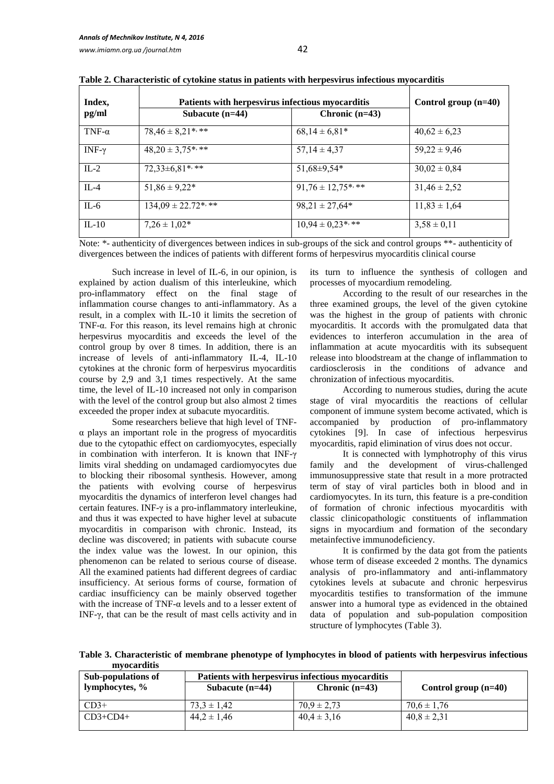| Index,                                                                       | Patients with herpesvirus infectious myocarditis              |                       | Control group $(n=40)$                                                                                                             |
|------------------------------------------------------------------------------|---------------------------------------------------------------|-----------------------|------------------------------------------------------------------------------------------------------------------------------------|
| pg/ml                                                                        | Subacute $(n=44)$                                             | Chronic $(n=43)$      |                                                                                                                                    |
| TNF- $\alpha$                                                                | $78,46 \pm 8,21$ ***                                          | $68,14 \pm 6,81*$     | $40,62 \pm 6,23$                                                                                                                   |
| INF- $\gamma$                                                                | $48,20 \pm 3,75$ ***                                          | $57,14 \pm 4,37$      | $59,22 \pm 9,46$                                                                                                                   |
| $IL-2$                                                                       | 72,33±6,81*,**                                                | 51,68±9,54*           | $30,02 \pm 0,84$                                                                                                                   |
| $IL-4$                                                                       | $51,86 \pm 9,22*$                                             | $91,76 \pm 12.75$ *** | $31,46 \pm 2,52$                                                                                                                   |
| $IL-6$                                                                       | $134,09 \pm 22.72$ ***                                        | $98,21 \pm 27,64*$    | $11,83 \pm 1,64$                                                                                                                   |
| $IL-10$<br>$\mathbf{v}$ , and $\mathbf{v}$ and $\mathbf{v}$ and $\mathbf{v}$ | $7,26 \pm 1,02^*$<br>$\cdot$ $\cdot$ $\cdot$<br>$\sim$ $\sim$ | $10,94 \pm 0,23$ *,** | $3,58 \pm 0,11$<br>the contract of the contract of the contract of the contract of the contract of the contract of the contract of |

**Table 2. Characteristic of cytokine status in patients with herpesvirus infectious myocarditis**

Note: \*- authenticity of divergences between indices in sub-groups of the sick and control groups \*\*- authenticity of divergences between the indices of patients with different forms of herpesvirus myocarditis clinical course

Such increase in level of IL-6, in our opinion, is explained by action dualism of this interleukine, which pro-inflammatory effect on the final stage of inflammation course changes to anti-inflammatory. As a result, in a complex with IL-10 it limits the secretion of TNF-α. For this reason, its level remains high at chronic herpesvirus myocarditis and exceeds the level of the control group by over 8 times. In addition, there is an increase of levels of anti-inflammatory IL-4, IL-10 cytokines at the chronic form of herpesvirus myocarditis course by 2,9 and 3,1 times respectively. At the same time, the level of IL-10 increased not only in comparison with the level of the control group but also almost 2 times exceeded the proper index at subacute myocarditis.

Some researchers believe that high level of TNFα plays an important role in the progress of myocarditis due to the cytopathic effect on cardiomyocytes, especially in combination with interferon. It is known that INF-γ limits viral shedding on undamaged cardiomyocytes due to blocking their ribosomal synthesis. However, among the patients with evolving course of herpesvirus myocarditis the dynamics of interferon level changes had certain features. INF-γ is a pro-inflammatory interleukine, and thus it was expected to have higher level at subacute myocarditis in comparison with chronic. Instead, its decline was discovered; in patients with subacute course the index value was the lowest. In our opinion, this phenomenon can be related to serious course of disease. All the examined patients had different degrees of cardiac insufficiency. At serious forms of course, formation of cardiac insufficiency can be mainly observed together with the increase of TNF-α levels and to a lesser extent of INF-γ, that can be the result of mast cells activity and in

its turn to influence the synthesis of collogen and processes of myocardium remodeling.

According to the result of our researches in the three examined groups, the level of the given cytokine was the highest in the group of patients with chronic myocarditis. It accords with the promulgated data that evidences to interferon accumulation in the area of inflammation at acute myocarditis with its subsequent release into bloodstream at the change of inflammation to cardiosclerosis in the conditions of advance and chronization of infectious myocarditis.

According to numerous studies, during the acute stage of viral myocarditis the reactions of cellular component of immune system become activated, which is accompanied by production of pro-inflammatory cytokines [9]. In case of infectious herpesvirus myocarditis, rapid elimination of virus does not occur.

It is connected with lymphotrophy of this virus family and the development of virus-challenged immunosuppressive state that result in a more protracted term of stay of viral particles both in blood and in cardiomyocytes. In its turn, this feature is a pre-condition of formation of chronic infectious myocarditis with classic clinicopathologic constituents of inflammation signs in myocardium and formation of the secondary metainfective immunodeficiency.

It is confirmed by the data got from the patients whose term of disease exceeded 2 months. The dynamics analysis of pro-inflammatory and anti-inflammatory cytokines levels at subacute and chronic herpesvirus myocarditis testifies to transformation of the immune answer into a humoral type as evidenced in the obtained data of population and sub-population composition structure of lymphocytes (Table 3).

**Table 3. Characteristic of membrane phenotype of lymphocytes in blood of patients with herpesvirus infectious myocarditis**

| Sub-populations of | Patients with herpesvirus infectious myocarditis |                  |                        |
|--------------------|--------------------------------------------------|------------------|------------------------|
| lymphocytes, %     | Subacute $(n=44)$                                | Chronic $(n=43)$ | Control group $(n=40)$ |
| $CD3+$             | $73.3 \pm 1.42$                                  | $70.9 \pm 2.73$  | $70.6 \pm 1.76$        |
| $CD3+CD4+$         | $44.2 \pm 1.46$                                  | $40.4 \pm 3.16$  | $40.8 \pm 2.31$        |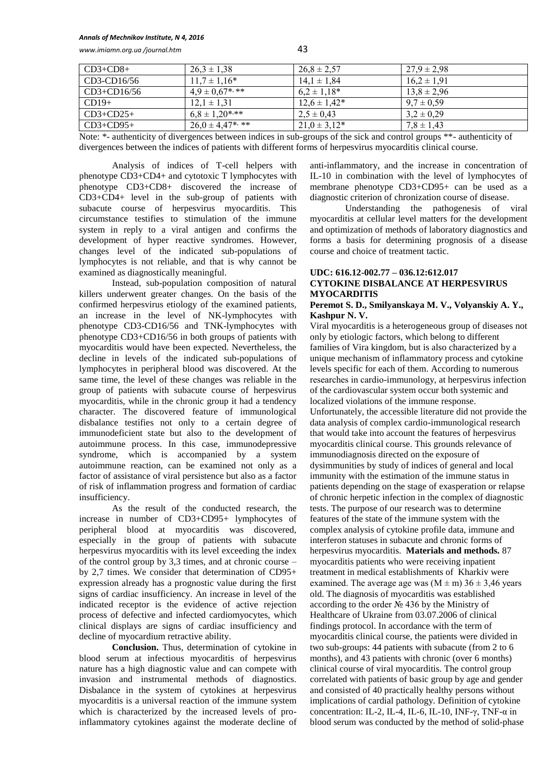#### *Annals of Mechnikov Institute, N 4, 2016*

*www.imiamn.org.ua /journal.htm* 43

| $CD3+CD8+$    | $26.3 \pm 1.38$       | $26.8 \pm 2.57$   | $27.9 \pm 2.98$ |
|---------------|-----------------------|-------------------|-----------------|
| CD3-CD16/56   | $11.7 \pm 1.16*$      | $14.1 \pm 1.84$   | $16.2 \pm 1.91$ |
| $CD3+CD16/56$ | $4.9 \pm 0.67$ ***    | $6.2 \pm 1.18*$   | $13.8 \pm 2.96$ |
| $CD19+$       | $12.1 \pm 1.31$       | $12.6 \pm 1.42^*$ | $9.7 \pm 0.59$  |
| $CD3+CD25+$   | $6.8 \pm 1.20$ ***    | $2,5 \pm 0,43$    | $3,2 \pm 0.29$  |
| $CD3+CD95+$   | $26.0 \pm 4.47$ *, ** | $21.0 \pm 3.12^*$ | $7.8 \pm 1.43$  |

Note: \*- authenticity of divergences between indices in sub-groups of the sick and control groups \*\*- authenticity of divergences between the indices of patients with different forms of herpesvirus myocarditis clinical course.

Analysis of indices of T-cell helpers with phenotype CD3+CD4+ and cytotoxic T lymphocytes with phenotype CD3+CD8+ discovered the increase of CD3+CD4+ level in the sub-group of patients with subacute course of herpesvirus myocarditis. This circumstance testifies to stimulation of the immune system in reply to a viral antigen and confirms the development of hyper reactive syndromes. However, changes level of the indicated sub-populations of lymphocytes is not reliable, and that is why cannot be examined as diagnostically meaningful.

Instead, sub-population composition of natural killers underwent greater changes. On the basis of the confirmed herpesvirus etiology of the examined patients, an increase in the level of NK-lymphocytes with phenotype CD3-CD16/56 and TNK-lymphocytes with phenotype CD3+CD16/56 in both groups of patients with myocarditis would have been expected. Nevertheless, the decline in levels of the indicated sub-populations of lymphocytes in peripheral blood was discovered. At the same time, the level of these changes was reliable in the group of patients with subacute course of herpesvirus myocarditis, while in the chronic group it had a tendency character. The discovered feature of immunological disbalance testifies not only to a certain degree of immunodeficient state but also to the development of autoimmune process. In this case, immunodepressive syndrome, which is accompanied by a system autoimmune reaction, can be examined not only as a factor of assistance of viral persistence but also as a factor of risk of inflammation progress and formation of cardiac insufficiency.

As the result of the conducted research, the increase in number of CD3+CD95+ lymphocytes of peripheral blood at myocarditis was discovered, especially in the group of patients with subacute herpesvirus myocarditis with its level exceeding the index of the control group by 3,3 times, and at chronic course – by 2,7 times. We consider that determination of CD95+ expression already has a prognostic value during the first signs of cardiac insufficiency. An increase in level of the indicated receptor is the evidence of active rejection process of defective and infected cardiomyocytes, which clinical displays are signs of cardiac insufficiency and decline of myocardium retractive ability.

**Conclusion.** Thus, determination of cytokine in blood serum at infectious myocarditis of herpesvirus nature has a high diagnostic value and can compete with invasion and instrumental methods of diagnostics. Disbalance in the system of cytokines at herpesvirus myocarditis is a universal reaction of the immune system which is characterized by the increased levels of proinflammatory cytokines against the moderate decline of anti-inflammatory, and the increase in concentration of ІL-10 in combination with the level of lymphocytes of membrane phenotype CD3+CD95+ can be used as a diagnostic criterion of chronization course of disease.

Understanding the pathogenesis of viral myocarditis at cellular level matters for the development and optimization of methods of laboratory diagnostics and forms a basis for determining prognosis of a disease course and choice of treatment tactic.

# **UDC: 616.12-002.77 – 036.12:612.017 CYTOKINE DISBALANCE AT HERPESVIRUS MYOCARDITIS**

## **Peremot S. D., Smilyanskaya M. V., Volyanskiy A. Y., Kashpur N. V.**

Viral myocarditis is a heterogeneous group of diseases not only by etiologic factors, which belong to different families of Vira kingdom, but is also characterized by a unique mechanism of inflammatory process and cytokine levels specific for each of them. According to numerous researches in сardio-immunology, at herpesvirus infection of the cardiovascular system occur both systemic and localized violations of the immune response. Unfortunately, the accessible literature did not provide the data analysis of complex cardio-immunological research that would take into account the features of herpesvirus myocarditis clinical course. This grounds relevance of immunodiagnosis directed on the exposure of dysimmunities by study of indices of general and local immunity with the estimation of the immune status in patients depending on the stage of exasperation or relapse of chronic herpetic infection in the complex of diagnostic tests. The purpose of our research was to determine features of the state of the immune system with the complex analysis of cytokine profile data, immune and interferon statuses in subacute and chronic forms of herpesvirus myocarditis. **Materials and methods.** 87 myocarditis patients who were receiving inpatient treatment in medical establishments of Kharkiv were examined. The average age was  $(M \pm m)$  36  $\pm$  3,46 years old. The diagnosis of myocarditis was established according to the order № 436 by the Ministry of Healthcare of Ukraine from 03.07.2006 of clinical findings protocol. In accordance with the term of myocarditis clinical course, the patients were divided in two sub-groups: 44 patients with subacute (from 2 to 6 months), and 43 patients with chronic (over 6 months) clinical course of viral myocarditis. The control group correlated with patients of basic group by age and gender and consisted of 40 practically healthy persons without implications of cardial pathology. Definition of cytokine concentration: IL-2, IL-4, IL-6, IL-10, INF-γ, TNF-α in blood serum was conducted by the method of solid-phase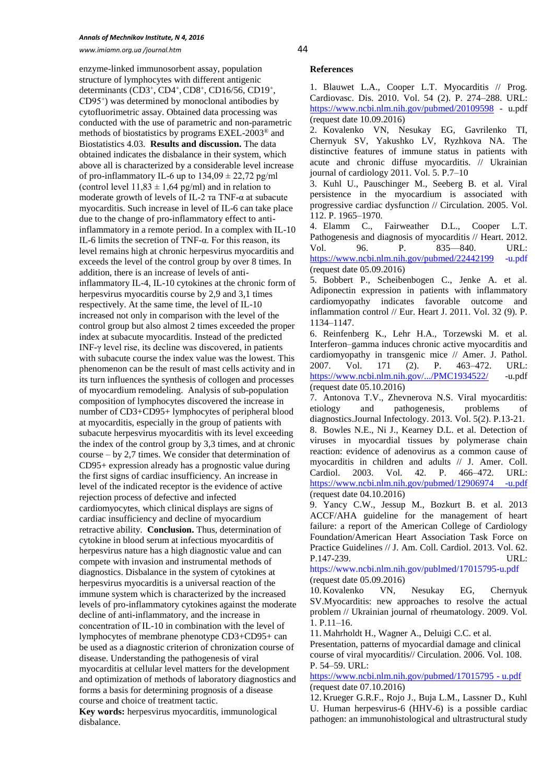#### *Annals of Mechnikov Institute, N 4, 2016*

*www.imiamn.org.ua /journal.htm* 44

enzyme-linked immunosorbent assay, population structure of lymphocytes with different antigenic determinants (CD3+, CD4+, CD8+, CD16/56, CD19+, СD95<sup>+</sup> ) was determined by monoclonal antibodies by cytofluorimetric assay. Obtained data processing was conducted with the use of parametric and non-parametric methods of biostatistics by programs EXEL-2003® and Biostatistics 4.03. **Results and discussion.** The data obtained indicates the disbalance in their system, which above all is characterized by a considerable level increase of pro-inflammatory IL-6 up to  $134,09 \pm 22,72$  pg/ml (control level  $11,83 \pm 1,64$  pg/ml) and in relation to moderate growth of levels of IL-2 та TNF-α at subacute myocarditis. Such increase in level of IL-6 can take place due to the change of pro-inflammatory effect to antiinflammatory in a remote period. In a complex with IL-10 IL-6 limits the secretion of TNF-α. For this reason, its level remains high at chronic herpesvirus myocarditis and exceeds the level of the control group by over 8 times. In addition, there is an increase of levels of antiinflammatory IL-4, IL-10 cytokines at the chronic form of herpesvirus myocarditis course by 2,9 and 3,1 times respectively. At the same time, the level of IL-10 increased not only in comparison with the level of the control group but also almost 2 times exceeded the proper index at subacute myocarditis. Instead of the predicted INF-γ level rise, its decline was discovered, in patients with subacute course the index value was the lowest. This phenomenon can be the result of mast cells activity and in its turn influences the synthesis of collogen and processes of myocardium remodeling. Analysis of sub-population composition of lymphocytes discovered the increase in number of CD3+CD95+ lymphocytes of peripheral blood at myocarditis, especially in the group of patients with subacute herpesvirus myocarditis with its level exceeding the index of the control group by 3,3 times, and at chronic course – by 2,7 times. We consider that determination of CD95+ expression already has a prognostic value during the first signs of cardiac insufficiency. An increase in level of the indicated receptor is the evidence of active rejection process of defective and infected cardiomyocytes, which clinical displays are signs of cardiac insufficiency and decline of myocardium retractive ability. **Conclusion.** Thus, determination of cytokine in blood serum at infectious myocarditis of herpesvirus nature has a high diagnostic value and can compete with invasion and instrumental methods of diagnostics. Disbalance in the system of cytokines at herpesvirus myocarditis is a universal reaction of the immune system which is characterized by the increased levels of pro-inflammatory cytokines against the moderate decline of anti-inflammatory, and the increase in concentration of ІL-10 in combination with the level of lymphocytes of membrane phenotype CD3+CD95+ can be used as a diagnostic criterion of chronization course of disease. Understanding the pathogenesis of viral myocarditis at cellular level matters for the development and optimization of methods of laboratory diagnostics and forms a basis for determining prognosis of a disease course and choice of treatment tactic.

**Key words:** herpesvirus myocarditis, immunological disbalance.

### **References**

1. Blauwet L.A., Cooper L.T. Myocarditis // Prog. Cardiovasc. Dis. 2010. Vol. 54 (2). P. 274–288. URL: <https://www.ncbi.nlm.nih.gov/pubmed/20109598> - u.pdf (request date 10.09.2016)

2. Kovalenko VN, Nesukay EG, Gavrilenko TI, Chernyuk SV, Yakushko LV, Ryzhkova NA. The distinctive features of immune status in patients with acute and chronic diffuse myocarditis. // Ukrainian journal of cardiology 2011. Vol. 5. P.7–10

3. Kuhl U., Pauschinger M., Seeberg B. et al. Viral persistence in the myocardium is associated with progressive cardiac dysfunction // Circulation. 2005. Vol. 112. P. 1965–1970.

4. Elamm C., Fairweather D.L., Cooper L.T. Pathogenesis and diagnosis of myocarditis // Heart. 2012. Vol. 96. P. 835—840. URL: <https://www.ncbi.nlm.nih.gov/pubmed/22442199> [-u.pdf](https://www.ncbi.nlm.nih.gov/publmed/17015795-u.pdf) (request date 05.09.2016)

5. Bobbert P., Scheibenbogen C., Jenke A. et al. Adiponectin expression in patients with inflammatory cardiomyopathy indicates favorable outcome and inflammation control // Eur. Heart J. 2011. Vol. 32 (9). P. 1134–1147.

6. Reinfenberg K., Lehr H.A., Torzewski M. et al. Interferon–gamma induces chronic active myocarditis and cardiomyopathy in transgenic mice // Amer. J. Pathol. 2007. Vol. 171 (2). P. 463–472. URL: <https://www.ncbi.nlm.nih.gov/.../PMC1934522/> -u.pdf (request date 05.10.2016)

7. Antonova T.V., Zhevnerova N.S. Viral myocarditis: etiology and pathogenesis, problems of diagnostics.Journal Infectology. 2013. Vol. 5(2). P.13-21. 8. Bowles N.E., Ni J., Kearney D.L. et al. Detection of viruses in myocardial tissues by polymerase chain reaction: evidence of adenovirus as a common cause of myocarditis in children and adults // J. Amer. Coll. Cardiol. 2003. Vol. 42. P. 466–472. URL: [https://www.ncbi.nlm.nih.gov/pubmed/12906974 -u.pdf](https://www.ncbi.nlm.nih.gov/pubmed/12906974%20-u.pdf) (request date 04.10.2016)

9. Yancy C.W., Jessup M., Bozkurt B. et al. 2013 ACCF/AHA guideline for the management of heart failure: a report of the American College of Cardiology Foundation/American Heart Association Task Force on Practice Guidelines // J. Am. Coll. Cardiol. 2013. Vol. 62. P.147-239. URL:

<https://www.ncbi.nlm.nih.gov/publmed/17015795-u.pdf> (request date 05.09.2016)

10. Kovalenko VN, Nesukay EG, Chernyuk SV.Myocarditis: new approaches to resolve the actual problem // Ukrainian journal of rheumatology. 2009. Vol. 1. P.11–16.

11. Mahrholdt H., Wagner A., Deluigi C.C. et al.

Presentation, patterns of myocardial damage and clinical course of viral myocarditis// Circulation. 2006. Vol. 108. P. 54–59. URL:

[https://www.ncbi.nlm.nih.gov/pubmed/17015795](https://www.ncbi.nlm.nih.gov/pubmed/17015795%20-%20u.pdf) - u.pdf (request date 07.10.2016)

12. Krueger G.R.F., Rojo J., Buja L.M., Lassner D., Kuhl U. Human herpesvirus-6 (HHV-6) is a possible cardiac pathogen: an immunohistological and ultrastructural study